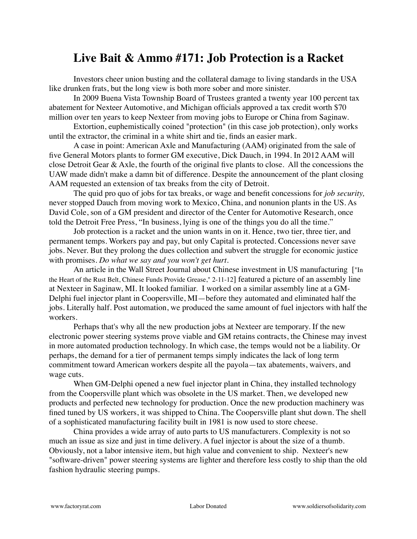## **Live Bait & Ammo #171: Job Protection is a Racket**

Investors cheer union busting and the collateral damage to living standards in the USA like drunken frats, but the long view is both more sober and more sinister.

In 2009 Buena Vista Township Board of Trustees granted a twenty year 100 percent tax abatement for Nexteer Automotive, and Michigan officials approved a tax credit worth \$70 million over ten years to keep Nexteer from moving jobs to Europe or China from Saginaw.

Extortion, euphemistically coined "protection" (in this case job protection), only works until the extractor, the criminal in a white shirt and tie, finds an easier mark.

A case in point: American Axle and Manufacturing (AAM) originated from the sale of five General Motors plants to former GM executive, Dick Dauch, in 1994. In 2012 AAM will close Detroit Gear & Axle, the fourth of the original five plants to close. All the concessions the UAW made didn't make a damn bit of difference. Despite the announcement of the plant closing AAM requested an extension of tax breaks from the city of Detroit.

The quid pro quo of jobs for tax breaks, or wage and benefit concessions for *job security,* never stopped Dauch from moving work to Mexico, China, and nonunion plants in the US. As David Cole, son of a GM president and director of the Center for Automotive Research, once told the Detroit Free Press, "In business, lying is one of the things you do all the time."

Job protection is a racket and the union wants in on it. Hence, two tier, three tier, and permanent temps. Workers pay and pay, but only Capital is protected. Concessions never save jobs. Never. But they prolong the dues collection and subvert the struggle for economic justice with promises. *Do what we say and you won't get hurt.* 

An article in the Wall Street Journal about Chinese investment in US manufacturing ["In the Heart of the Rust Belt, Chinese Funds Provide Grease," 2-11-12] featured a picture of an assembly line at Nexteer in Saginaw, MI. It looked familiar. I worked on a similar assembly line at a GM-Delphi fuel injector plant in Coopersville, MI—before they automated and eliminated half the jobs. Literally half. Post automation, we produced the same amount of fuel injectors with half the workers.

Perhaps that's why all the new production jobs at Nexteer are temporary. If the new electronic power steering systems prove viable and GM retains contracts, the Chinese may invest in more automated production technology. In which case, the temps would not be a liability. Or perhaps, the demand for a tier of permanent temps simply indicates the lack of long term commitment toward American workers despite all the payola—tax abatements, waivers, and wage cuts.

When GM-Delphi opened a new fuel injector plant in China, they installed technology from the Coopersville plant which was obsolete in the US market. Then, we developed new products and perfected new technology for production. Once the new production machinery was fined tuned by US workers, it was shipped to China. The Coopersville plant shut down. The shell of a sophisticated manufacturing facility built in 1981 is now used to store cheese.

China provides a wide array of auto parts to US manufacturers. Complexity is not so much an issue as size and just in time delivery. A fuel injector is about the size of a thumb. Obviously, not a labor intensive item, but high value and convenient to ship. Nexteer's new "software-driven" power steering systems are lighter and therefore less costly to ship than the old fashion hydraulic steering pumps.